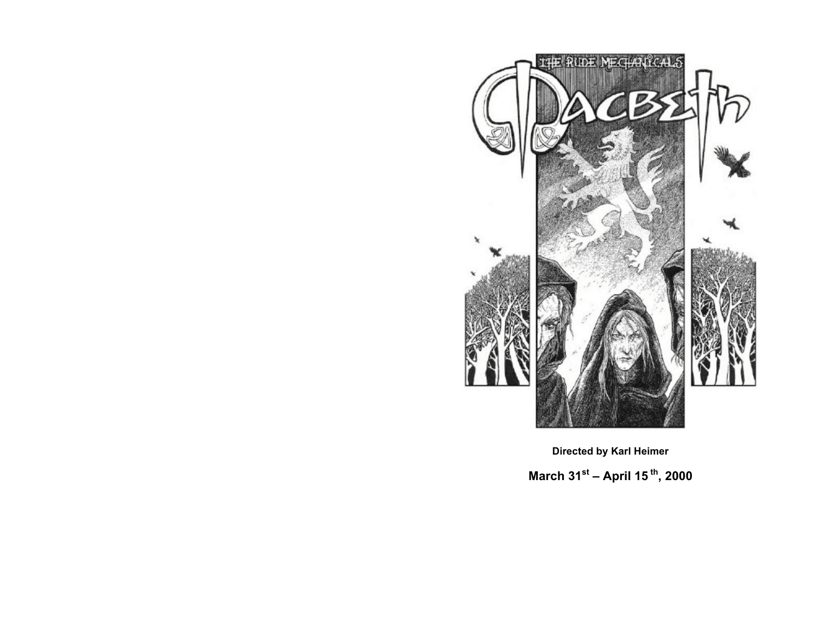

**Directed by Karl Heimer March 31st – April 15 th, 2000**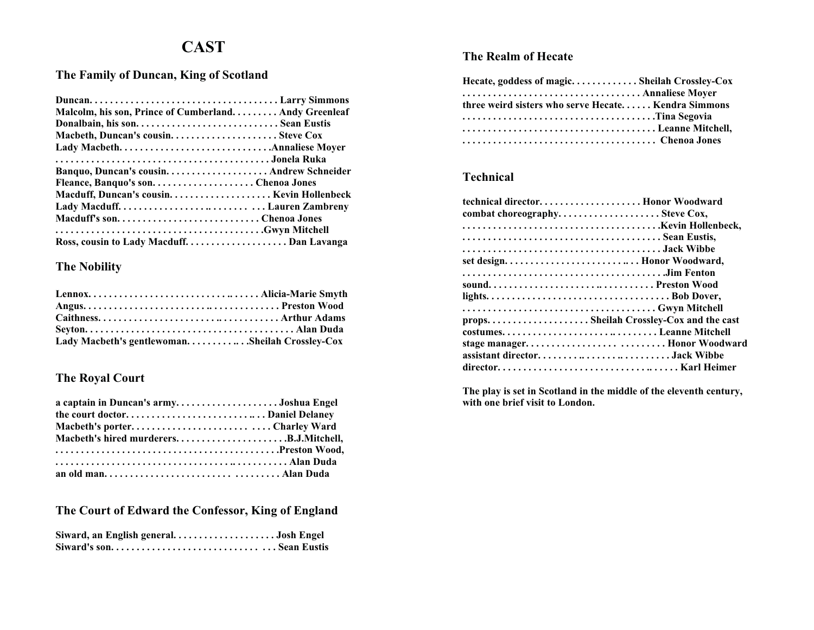# **CAST**

### **The Family of Duncan, King of Scotland**

| Malcolm, his son, Prince of Cumberland Andy Greenleaf |  |
|-------------------------------------------------------|--|
| Donalbain, his son Sean Eustis                        |  |
|                                                       |  |
|                                                       |  |
|                                                       |  |
| Banquo, Duncan's cousin Andrew Schneider              |  |
| Fleance, Banquo's sonChenoa Jones                     |  |
|                                                       |  |
|                                                       |  |
| Macduff's sonChenoa Jones                             |  |
|                                                       |  |
|                                                       |  |

#### **The Nobility**

| Lady Macbeth's gentlewomanSheilah Crossley-Cox |  |
|------------------------------------------------|--|

## **The Royal Court**

| a captain in Duncan's armyJoshua Engel |  |
|----------------------------------------|--|
|                                        |  |
| Macbeth's porterCharley Ward           |  |
| Macbeth's hired murderersB.J.Mitchell, |  |
|                                        |  |
|                                        |  |
|                                        |  |

## **The Court of Edward the Confessor, King of England**

| Siward, an English generalJosh Engel |  |
|--------------------------------------|--|
|                                      |  |

#### **The Realm of Hecate**

| Hecate, goddess of magic Sheilah Crossley-Cox       |  |
|-----------------------------------------------------|--|
|                                                     |  |
| three weird sisters who serve Hecate Kendra Simmons |  |
|                                                     |  |
| Leanne Mitchell,                                    |  |
|                                                     |  |

#### **Technical**

| technical director Honor Woodward       |
|-----------------------------------------|
| combat choreography Steve Cox,          |
|                                         |
|                                         |
|                                         |
|                                         |
|                                         |
| soundPreston Wood                       |
|                                         |
|                                         |
| props Sheilah Crossley-Cox and the cast |
| costumesLeanne Mitchell                 |
| stage manager Honor Woodward            |
| assistant directorJack Wibbe            |
|                                         |

**The play is set in Scotland in the middle of the eleventh century, with one brief visit to London.**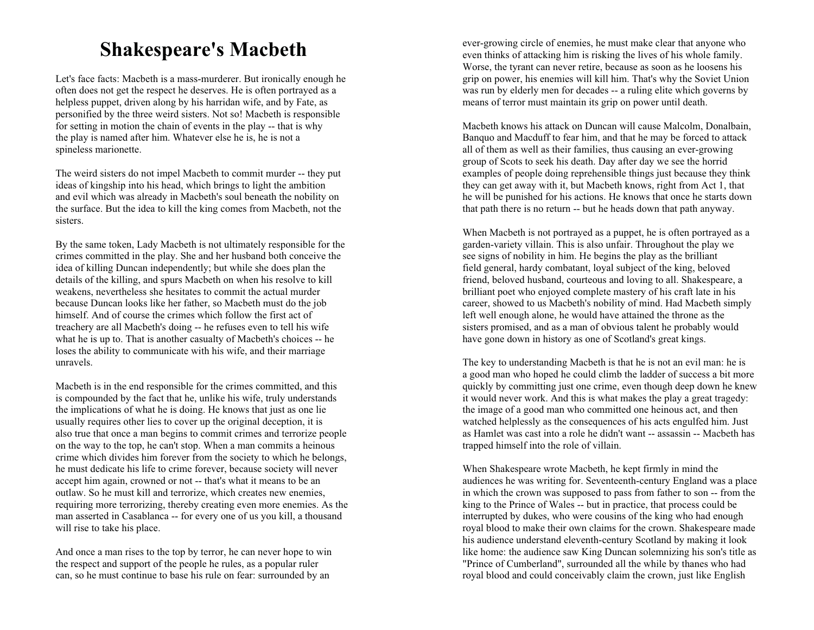# **Shakespeare's Macbeth**

Let's face facts: Macbeth is a mass-murderer. But ironically enough he often does not get the respect he deserves. He is often portrayed as a helpless puppet, driven along by his harridan wife, and by Fate, as personified by the three weird sisters. Not so! Macbeth is responsible for setting in motion the chain of events in the play -- that is why the play is named after him. Whatever else he is, he is not a spineless marionette.

The weird sisters do not impel Macbeth to commit murder -- they put ideas of kingship into his head, which brings to light the ambition and evil which was already in Macbeth's soul beneath the nobility on the surface. But the idea to kill the king comes from Macbeth, not the sisters.

By the same token, Lady Macbeth is not ultimately responsible for the crimes committed in the play. She and her husband both conceive the idea of killing Duncan independently; but while she does plan the details of the killing, and spurs Macbeth on when his resolve to kill weakens, nevertheless she hesitates to commit the actual murder because Duncan looks like her father, so Macbeth must do the job himself. And of course the crimes which follow the first act of treachery are all Macbeth's doing -- he refuses even to tell his wife what he is up to. That is another casualty of Macbeth's choices -- he loses the ability to communicate with his wife, and their marriage unravels.

Macbeth is in the end responsible for the crimes committed, and this is compounded by the fact that he, unlike his wife, truly understands the implications of what he is doing. He knows that just as one lie usually requires other lies to cover up the original deception, it is also true that once a man begins to commit crimes and terrorize people on the way to the top, he can't stop. When a man commits a heinous crime which divides him forever from the society to which he belongs, he must dedicate his life to crime forever, because society will never accept him again, crowned or not -- that's what it means to be an outlaw. So he must kill and terrorize, which creates new enemies, requiring more terrorizing, thereby creating even more enemies. As the man asserted in Casablanca -- for every one of us you kill, a thousand will rise to take his place.

And once a man rises to the top by terror, he can never hope to win the respect and support of the people he rules, as a popular ruler can, so he must continue to base his rule on fear: surrounded by an

ever-growing circle of enemies, he must make clear that anyone who even thinks of attacking him is risking the lives of his whole family. Worse, the tyrant can never retire, because as soon as he loosens his grip on power, his enemies will kill him. That's why the Soviet Union was run by elderly men for decades -- a ruling elite which governs by means of terror must maintain its grip on power until death.

Macbeth knows his attack on Duncan will cause Malcolm, Donalbain, Banquo and Macduff to fear him, and that he may be forced to attack all of them as well as their families, thus causing an ever-growing group of Scots to seek his death. Day after day we see the horrid examples of people doing reprehensible things just because they think they can get away with it, but Macbeth knows, right from Act 1, that he will be punished for his actions. He knows that once he starts down that path there is no return -- but he heads down that path anyway.

When Macbeth is not portrayed as a puppet, he is often portrayed as a garden-variety villain. This is also unfair. Throughout the play we see signs of nobility in him. He begins the play as the brilliant field general, hardy combatant, loyal subject of the king, beloved friend, beloved husband, courteous and loving to all. Shakespeare, a brilliant poet who enjoyed complete mastery of his craft late in his career, showed to us Macbeth's nobility of mind. Had Macbeth simply left well enough alone, he would have attained the throne as the sisters promised, and as a man of obvious talent he probably would have gone down in history as one of Scotland's great kings.

The key to understanding Macbeth is that he is not an evil man: he is a good man who hoped he could climb the ladder of success a bit more quickly by committing just one crime, even though deep down he knew it would never work. And this is what makes the play a great tragedy: the image of a good man who committed one heinous act, and then watched helplessly as the consequences of his acts engulfed him. Just as Hamlet was cast into a role he didn't want -- assassin -- Macbeth has trapped himself into the role of villain.

When Shakespeare wrote Macbeth, he kept firmly in mind the audiences he was writing for. Seventeenth-century England was a place in which the crown was supposed to pass from father to son -- from the king to the Prince of Wales -- but in practice, that process could be interrupted by dukes, who were cousins of the king who had enough royal blood to make their own claims for the crown. Shakespeare made his audience understand eleventh-century Scotland by making it look like home: the audience saw King Duncan solemnizing his son's title as "Prince of Cumberland", surrounded all the while by thanes who had royal blood and could conceivably claim the crown, just like English